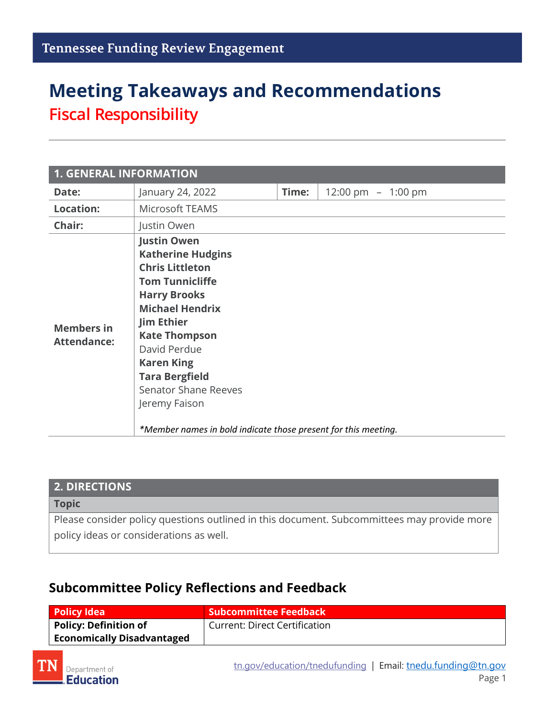# **Meeting Takeaways and Recommendations Fiscal Responsibility**

| <b>1. GENERAL INFORMATION</b>           |                                                                                                                                                                                                                                                                                                                                                                                  |       |                     |
|-----------------------------------------|----------------------------------------------------------------------------------------------------------------------------------------------------------------------------------------------------------------------------------------------------------------------------------------------------------------------------------------------------------------------------------|-------|---------------------|
| Date:                                   | January 24, 2022                                                                                                                                                                                                                                                                                                                                                                 | Time: | 12:00 pm $-1:00$ pm |
| <b>Location:</b>                        | Microsoft TEAMS                                                                                                                                                                                                                                                                                                                                                                  |       |                     |
| Chair:                                  | Justin Owen                                                                                                                                                                                                                                                                                                                                                                      |       |                     |
| <b>Members in</b><br><b>Attendance:</b> | <b>Justin Owen</b><br><b>Katherine Hudgins</b><br><b>Chris Littleton</b><br><b>Tom Tunnicliffe</b><br><b>Harry Brooks</b><br><b>Michael Hendrix</b><br><b>Jim Ethier</b><br><b>Kate Thompson</b><br>David Perdue<br><b>Karen King</b><br><b>Tara Bergfield</b><br><b>Senator Shane Reeves</b><br>Jeremy Faison<br>*Member names in bold indicate those present for this meeting. |       |                     |

| <b>2. DIRECTIONS</b>                                                                       |
|--------------------------------------------------------------------------------------------|
| <b>Topic</b>                                                                               |
| Please consider policy questions outlined in this document. Subcommittees may provide more |

policy ideas or considerations as well.

#### **Subcommittee Policy Reflections and Feedback**

| Policy Idea                       | Subcommittee Feedback         |
|-----------------------------------|-------------------------------|
| <b>Policy: Definition of</b>      | Current: Direct Certification |
| <b>Economically Disadvantaged</b> |                               |

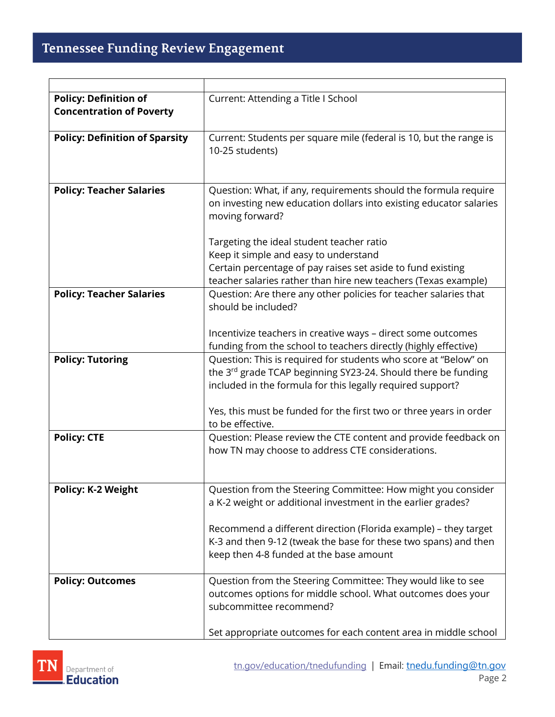| <b>Policy: Definition of</b><br><b>Concentration of Poverty</b> | Current: Attending a Title I School                                                                                                                                                                                                                                  |
|-----------------------------------------------------------------|----------------------------------------------------------------------------------------------------------------------------------------------------------------------------------------------------------------------------------------------------------------------|
| <b>Policy: Definition of Sparsity</b>                           | Current: Students per square mile (federal is 10, but the range is<br>10-25 students)                                                                                                                                                                                |
| <b>Policy: Teacher Salaries</b>                                 | Question: What, if any, requirements should the formula require<br>on investing new education dollars into existing educator salaries<br>moving forward?                                                                                                             |
|                                                                 | Targeting the ideal student teacher ratio                                                                                                                                                                                                                            |
|                                                                 | Keep it simple and easy to understand                                                                                                                                                                                                                                |
|                                                                 | Certain percentage of pay raises set aside to fund existing                                                                                                                                                                                                          |
|                                                                 | teacher salaries rather than hire new teachers (Texas example)                                                                                                                                                                                                       |
| <b>Policy: Teacher Salaries</b>                                 | Question: Are there any other policies for teacher salaries that<br>should be included?                                                                                                                                                                              |
|                                                                 | Incentivize teachers in creative ways - direct some outcomes<br>funding from the school to teachers directly (highly effective)                                                                                                                                      |
| <b>Policy: Tutoring</b>                                         | Question: This is required for students who score at "Below" on<br>the 3rd grade TCAP beginning SY23-24. Should there be funding<br>included in the formula for this legally required support?<br>Yes, this must be funded for the first two or three years in order |
|                                                                 | to be effective.                                                                                                                                                                                                                                                     |
| <b>Policy: CTE</b>                                              | Question: Please review the CTE content and provide feedback on<br>how TN may choose to address CTE considerations.                                                                                                                                                  |
| <b>Policy: K-2 Weight</b>                                       | Question from the Steering Committee: How might you consider<br>a K-2 weight or additional investment in the earlier grades?                                                                                                                                         |
|                                                                 | Recommend a different direction (Florida example) - they target<br>K-3 and then 9-12 (tweak the base for these two spans) and then<br>keep then 4-8 funded at the base amount                                                                                        |
| <b>Policy: Outcomes</b>                                         | Question from the Steering Committee: They would like to see<br>outcomes options for middle school. What outcomes does your<br>subcommittee recommend?                                                                                                               |
|                                                                 | Set appropriate outcomes for each content area in middle school                                                                                                                                                                                                      |

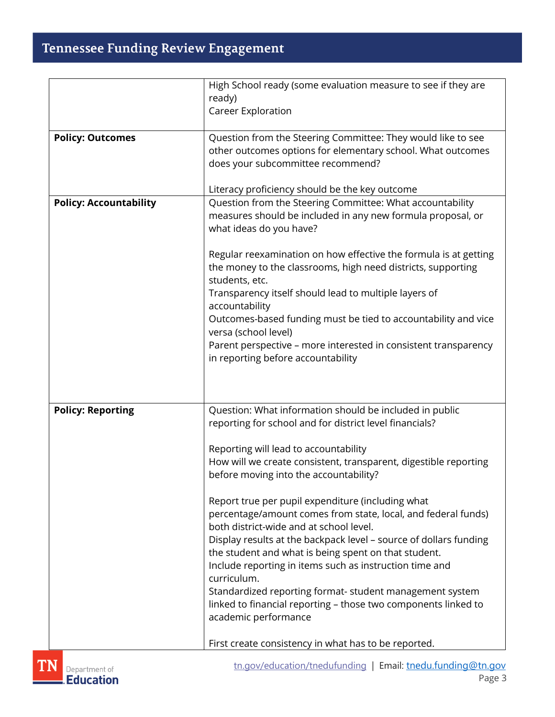# Tennessee Funding Review Engagement

|                               | High School ready (some evaluation measure to see if they are                                                                    |
|-------------------------------|----------------------------------------------------------------------------------------------------------------------------------|
|                               | ready)                                                                                                                           |
|                               | <b>Career Exploration</b>                                                                                                        |
| <b>Policy: Outcomes</b>       | Question from the Steering Committee: They would like to see                                                                     |
|                               | other outcomes options for elementary school. What outcomes                                                                      |
|                               | does your subcommittee recommend?                                                                                                |
|                               |                                                                                                                                  |
|                               | Literacy proficiency should be the key outcome                                                                                   |
| <b>Policy: Accountability</b> | Question from the Steering Committee: What accountability                                                                        |
|                               | measures should be included in any new formula proposal, or                                                                      |
|                               | what ideas do you have?                                                                                                          |
|                               |                                                                                                                                  |
|                               | Regular reexamination on how effective the formula is at getting<br>the money to the classrooms, high need districts, supporting |
|                               | students, etc.                                                                                                                   |
|                               | Transparency itself should lead to multiple layers of                                                                            |
|                               | accountability                                                                                                                   |
|                               | Outcomes-based funding must be tied to accountability and vice                                                                   |
|                               | versa (school level)                                                                                                             |
|                               | Parent perspective - more interested in consistent transparency                                                                  |
|                               | in reporting before accountability                                                                                               |
|                               |                                                                                                                                  |
|                               |                                                                                                                                  |
| <b>Policy: Reporting</b>      | Question: What information should be included in public                                                                          |
|                               | reporting for school and for district level financials?                                                                          |
|                               |                                                                                                                                  |
|                               | Reporting will lead to accountability                                                                                            |
|                               | How will we create consistent, transparent, digestible reporting                                                                 |
|                               | before moving into the accountability?                                                                                           |
|                               | Report true per pupil expenditure (including what                                                                                |
|                               | percentage/amount comes from state, local, and federal funds)                                                                    |
|                               | both district-wide and at school level.                                                                                          |
|                               | Display results at the backpack level - source of dollars funding                                                                |
|                               | the student and what is being spent on that student.                                                                             |
|                               | Include reporting in items such as instruction time and                                                                          |
|                               | curriculum.                                                                                                                      |
|                               | Standardized reporting format- student management system                                                                         |
|                               | linked to financial reporting - those two components linked to<br>academic performance                                           |
|                               |                                                                                                                                  |
|                               | First create consistency in what has to be reported.                                                                             |
|                               |                                                                                                                                  |

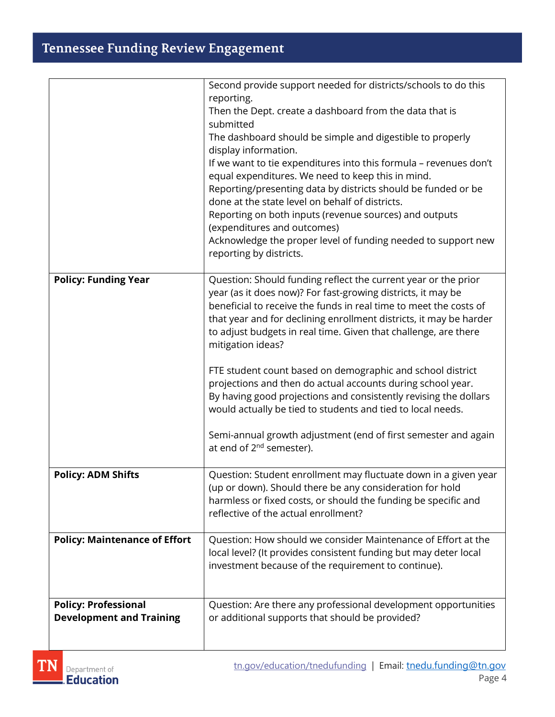## **Tennessee Funding Review Engagement**

|                                      | Second provide support needed for districts/schools to do this                                                                  |
|--------------------------------------|---------------------------------------------------------------------------------------------------------------------------------|
|                                      | reporting.<br>Then the Dept. create a dashboard from the data that is                                                           |
|                                      | submitted                                                                                                                       |
|                                      | The dashboard should be simple and digestible to properly                                                                       |
|                                      | display information.<br>If we want to tie expenditures into this formula - revenues don't                                       |
|                                      | equal expenditures. We need to keep this in mind.                                                                               |
|                                      | Reporting/presenting data by districts should be funded or be                                                                   |
|                                      | done at the state level on behalf of districts.                                                                                 |
|                                      | Reporting on both inputs (revenue sources) and outputs<br>(expenditures and outcomes)                                           |
|                                      | Acknowledge the proper level of funding needed to support new                                                                   |
|                                      | reporting by districts.                                                                                                         |
| <b>Policy: Funding Year</b>          | Question: Should funding reflect the current year or the prior                                                                  |
|                                      | year (as it does now)? For fast-growing districts, it may be                                                                    |
|                                      | beneficial to receive the funds in real time to meet the costs of                                                               |
|                                      | that year and for declining enrollment districts, it may be harder                                                              |
|                                      | to adjust budgets in real time. Given that challenge, are there<br>mitigation ideas?                                            |
|                                      |                                                                                                                                 |
|                                      | FTE student count based on demographic and school district                                                                      |
|                                      | projections and then do actual accounts during school year.                                                                     |
|                                      | By having good projections and consistently revising the dollars<br>would actually be tied to students and tied to local needs. |
|                                      |                                                                                                                                 |
|                                      | Semi-annual growth adjustment (end of first semester and again                                                                  |
|                                      | at end of 2 <sup>nd</sup> semester).                                                                                            |
| <b>Policy: ADM Shifts</b>            | Question: Student enrollment may fluctuate down in a given year                                                                 |
|                                      | (up or down). Should there be any consideration for hold                                                                        |
|                                      | harmless or fixed costs, or should the funding be specific and<br>reflective of the actual enrollment?                          |
|                                      |                                                                                                                                 |
| <b>Policy: Maintenance of Effort</b> | Question: How should we consider Maintenance of Effort at the                                                                   |
|                                      | local level? (It provides consistent funding but may deter local                                                                |
|                                      | investment because of the requirement to continue).                                                                             |
|                                      |                                                                                                                                 |
| <b>Policy: Professional</b>          | Question: Are there any professional development opportunities                                                                  |
| <b>Development and Training</b>      | or additional supports that should be provided?                                                                                 |
|                                      |                                                                                                                                 |